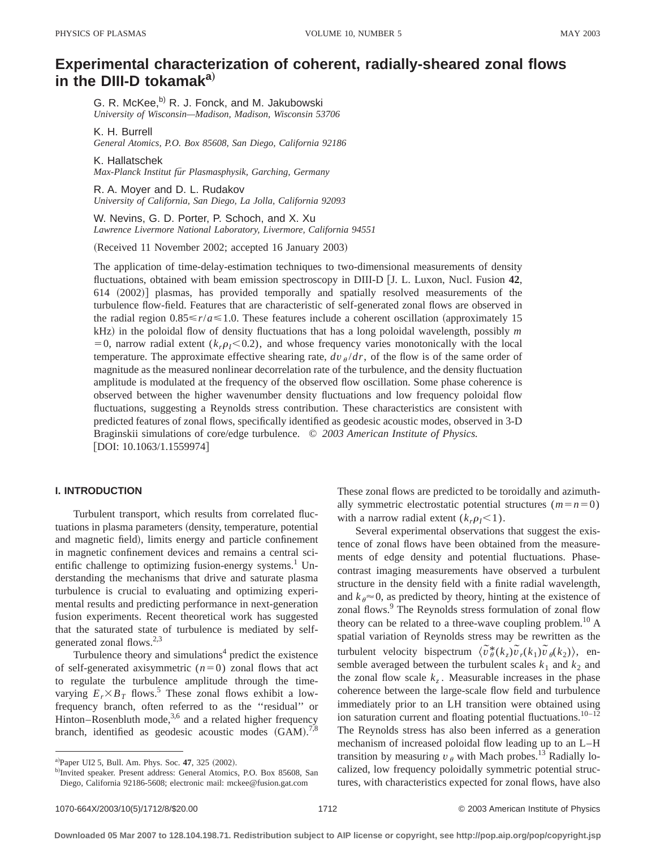# **Experimental characterization of coherent, radially-sheared zonal flows in the DIII-D tokamaka**…

G. R. McKee,<sup>b)</sup> R. J. Fonck, and M. Jakubowski *University of Wisconsin—Madison, Madison, Wisconsin 53706*

K. H. Burrell

*General Atomics, P.O. Box 85608, San Diego, California 92186*

K. Hallatschek *Max-Planck Institut fu¨r Plasmasphysik, Garching, Germany*

R. A. Moyer and D. L. Rudakov *University of California, San Diego, La Jolla, California 92093*

W. Nevins, G. D. Porter, P. Schoch, and X. Xu *Lawrence Livermore National Laboratory, Livermore, California 94551*

(Received 11 November 2002; accepted 16 January 2003)

The application of time-delay-estimation techniques to two-dimensional measurements of density fluctuations, obtained with beam emission spectroscopy in DIII-D [J. L. Luxon, Nucl. Fusion 42,  $614$   $(2002)$ ] plasmas, has provided temporally and spatially resolved measurements of the turbulence flow-field. Features that are characteristic of self-generated zonal flows are observed in the radial region  $0.85 \le r/a \le 1.0$ . These features include a coherent oscillation (approximately 15  $kHz$ ) in the poloidal flow of density fluctuations that has a long poloidal wavelength, possibly  $m$  $=0$ , narrow radial extent ( $k<sub>p1</sub> < 0.2$ ), and whose frequency varies monotonically with the local temperature. The approximate effective shearing rate,  $dv_{\theta}/dr$ , of the flow is of the same order of magnitude as the measured nonlinear decorrelation rate of the turbulence, and the density fluctuation amplitude is modulated at the frequency of the observed flow oscillation. Some phase coherence is observed between the higher wavenumber density fluctuations and low frequency poloidal flow fluctuations, suggesting a Reynolds stress contribution. These characteristics are consistent with predicted features of zonal flows, specifically identified as geodesic acoustic modes, observed in 3-D Braginskii simulations of core/edge turbulence. © *2003 American Institute of Physics.*  $[DOI: 10.1063/1.1559974]$ 

# **I. INTRODUCTION**

Turbulent transport, which results from correlated fluctuations in plasma parameters (density, temperature, potential and magnetic field), limits energy and particle confinement in magnetic confinement devices and remains a central scientific challenge to optimizing fusion-energy systems.<sup>1</sup> Understanding the mechanisms that drive and saturate plasma turbulence is crucial to evaluating and optimizing experimental results and predicting performance in next-generation fusion experiments. Recent theoretical work has suggested that the saturated state of turbulence is mediated by selfgenerated zonal flows. $2,3$ 

Turbulence theory and simulations $4$  predict the existence of self-generated axisymmetric  $(n=0)$  zonal flows that act to regulate the turbulence amplitude through the timevarying  $E_r \times B_T$  flows.<sup>5</sup> These zonal flows exhibit a lowfrequency branch, often referred to as the ''residual'' or Hinton–Rosenbluth mode,<sup>3,6</sup> and a related higher frequency branch, identified as geodesic acoustic modes  $(GAM)^{7,8}$  These zonal flows are predicted to be toroidally and azimuthally symmetric electrostatic potential structures  $(m = n = 0)$ with a narrow radial extent  $(k_r \rho_I \le 1)$ .

Several experimental observations that suggest the existence of zonal flows have been obtained from the measurements of edge density and potential fluctuations. Phasecontrast imaging measurements have observed a turbulent structure in the density field with a finite radial wavelength, and  $k_{\theta} \approx 0$ , as predicted by theory, hinting at the existence of zonal flows.<sup>9</sup> The Reynolds stress formulation of zonal flow theory can be related to a three-wave coupling problem.<sup>10</sup> A spatial variation of Reynolds stress may be rewritten as the turbulent velocity bispectrum  $\langle \tilde{v}^*_{\theta}(k_z) \tilde{v}_r(k_1) \tilde{v}_\theta(k_2) \rangle$ , ensemble averaged between the turbulent scales  $k_1$  and  $k_2$  and the zonal flow scale  $k_z$ . Measurable increases in the phase coherence between the large-scale flow field and turbulence immediately prior to an LH transition were obtained using ion saturation current and floating potential fluctuations. $10-12$ The Reynolds stress has also been inferred as a generation mechanism of increased poloidal flow leading up to an L–H transition by measuring  $v_{\theta}$  with Mach probes.<sup>13</sup> Radially localized, low frequency poloidally symmetric potential structures, with characteristics expected for zonal flows, have also

a)Paper UI2 5, Bull. Am. Phys. Soc. 47, 325 (2002).

b)Invited speaker. Present address: General Atomics, P.O. Box 85608, San Diego, California 92186-5608; electronic mail: mckee@fusion.gat.com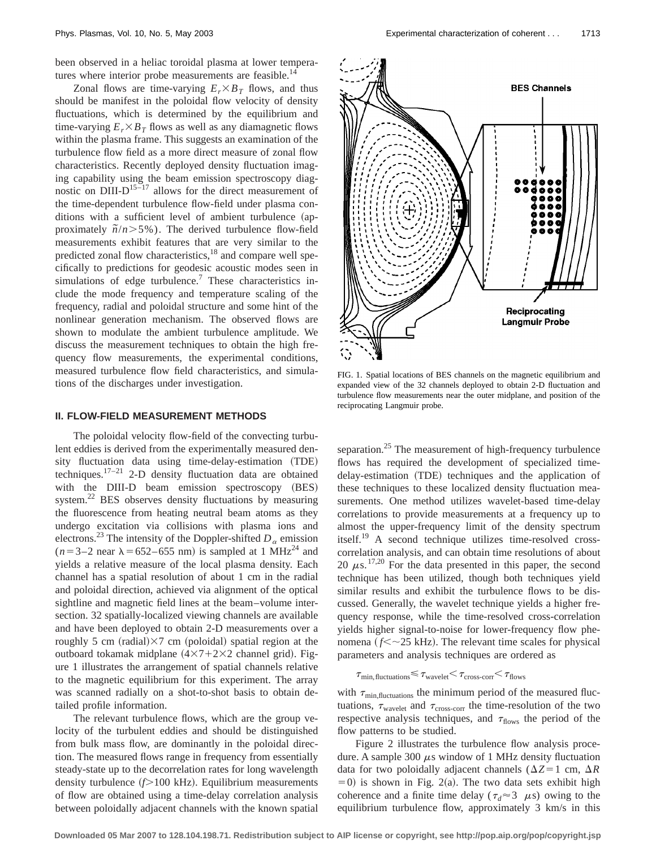been observed in a heliac toroidal plasma at lower temperatures where interior probe measurements are feasible.<sup>14</sup>

Zonal flows are time-varying  $E_r \times B_T$  flows, and thus should be manifest in the poloidal flow velocity of density fluctuations, which is determined by the equilibrium and time-varying  $E_r \times B_T$  flows as well as any diamagnetic flows within the plasma frame. This suggests an examination of the turbulence flow field as a more direct measure of zonal flow characteristics. Recently deployed density fluctuation imaging capability using the beam emission spectroscopy diagnostic on  $\text{DIII-D}^{15-17}$  allows for the direct measurement of the time-dependent turbulence flow-field under plasma conditions with a sufficient level of ambient turbulence (approximately  $\tilde{n}/n$  > 5%). The derived turbulence flow-field measurements exhibit features that are very similar to the predicted zonal flow characteristics,<sup>18</sup> and compare well specifically to predictions for geodesic acoustic modes seen in simulations of edge turbulence.<sup>7</sup> These characteristics include the mode frequency and temperature scaling of the frequency, radial and poloidal structure and some hint of the nonlinear generation mechanism. The observed flows are shown to modulate the ambient turbulence amplitude. We discuss the measurement techniques to obtain the high frequency flow measurements, the experimental conditions, measured turbulence flow field characteristics, and simulations of the discharges under investigation.

#### **II. FLOW-FIELD MEASUREMENT METHODS**

The poloidal velocity flow-field of the convecting turbulent eddies is derived from the experimentally measured density fluctuation data using time-delay-estimation (TDE) techniques.17–21 2-D density fluctuation data are obtained with the DIII-D beam emission spectroscopy (BES) system.<sup>22</sup> BES observes density fluctuations by measuring the fluorescence from heating neutral beam atoms as they undergo excitation via collisions with plasma ions and electrons.<sup>23</sup> The intensity of the Doppler-shifted  $D_\alpha$  emission  $(n=3-2 \text{ near } \lambda=652-655 \text{ nm})$  is sampled at 1 MHz<sup>24</sup> and yields a relative measure of the local plasma density. Each channel has a spatial resolution of about 1 cm in the radial and poloidal direction, achieved via alignment of the optical sightline and magnetic field lines at the beam–volume intersection. 32 spatially-localized viewing channels are available and have been deployed to obtain 2-D measurements over a roughly 5 cm (radial) $\times$ 7 cm (poloidal) spatial region at the outboard tokamak midplane  $(4 \times 7 + 2 \times 2$  channel grid). Figure 1 illustrates the arrangement of spatial channels relative to the magnetic equilibrium for this experiment. The array was scanned radially on a shot-to-shot basis to obtain detailed profile information.

The relevant turbulence flows, which are the group velocity of the turbulent eddies and should be distinguished from bulk mass flow, are dominantly in the poloidal direction. The measured flows range in frequency from essentially steady-state up to the decorrelation rates for long wavelength density turbulence ( $f$ >100 kHz). Equilibrium measurements of flow are obtained using a time-delay correlation analysis between poloidally adjacent channels with the known spatial



FIG. 1. Spatial locations of BES channels on the magnetic equilibrium and expanded view of the 32 channels deployed to obtain 2-D fluctuation and turbulence flow measurements near the outer midplane, and position of the reciprocating Langmuir probe.

separation.<sup>25</sup> The measurement of high-frequency turbulence flows has required the development of specialized timedelay-estimation (TDE) techniques and the application of these techniques to these localized density fluctuation measurements. One method utilizes wavelet-based time-delay correlations to provide measurements at a frequency up to almost the upper-frequency limit of the density spectrum itself.19 A second technique utilizes time-resolved crosscorrelation analysis, and can obtain time resolutions of about 20  $\mu$ s.<sup>17,20</sup> For the data presented in this paper, the second technique has been utilized, though both techniques yield similar results and exhibit the turbulence flows to be discussed. Generally, the wavelet technique yields a higher frequency response, while the time-resolved cross-correlation yields higher signal-to-noise for lower-frequency flow phenomena ( $f \leq \sim 25$  kHz). The relevant time scales for physical parameters and analysis techniques are ordered as

 $\tau_{\text{min,fluctuations}} \leq \tau_{\text{wavelet}} \leq \tau_{\text{cross-corr}} \leq \tau_{\text{flows}}$ 

with  $\tau_{\text{min,fluctuations}}$  the minimum period of the measured fluctuations,  $\tau_{\text{wavelet}}$  and  $\tau_{\text{cross-corr}}$  the time-resolution of the two respective analysis techniques, and  $\tau_{\text{flows}}$  the period of the flow patterns to be studied.

Figure 2 illustrates the turbulence flow analysis procedure. A sample 300  $\mu$ s window of 1 MHz density fluctuation data for two poloidally adjacent channels ( $\Delta Z = 1$  cm,  $\Delta R$  $(50)$  is shown in Fig. 2(a). The two data sets exhibit high coherence and a finite time delay ( $\tau_d \approx 3$   $\mu$ s) owing to the equilibrium turbulence flow, approximately 3 km/s in this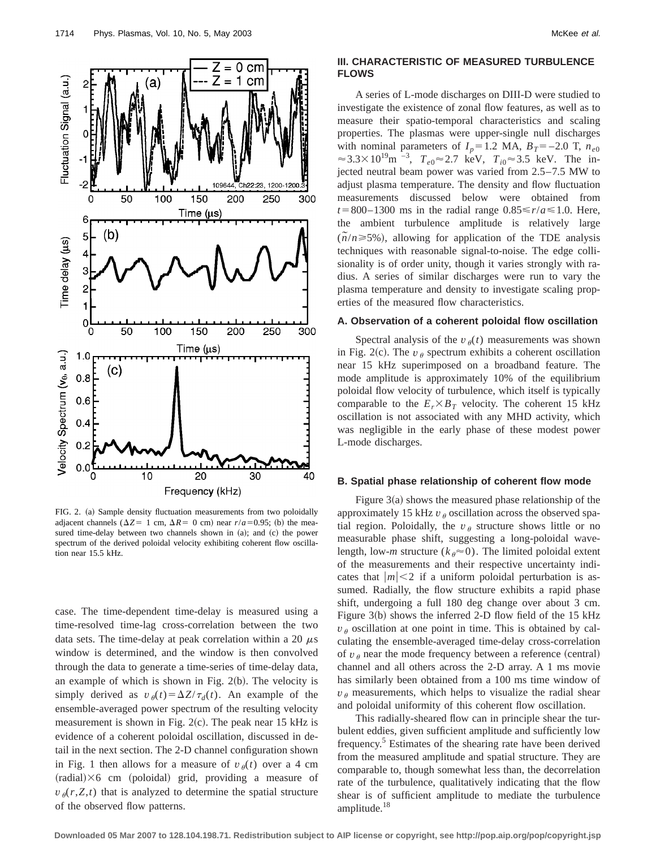

FIG. 2. (a) Sample density fluctuation measurements from two poloidally adjacent channels ( $\Delta Z = 1$  cm,  $\Delta R = 0$  cm) near  $r/a = 0.95$ ; (b) the measured time-delay between two channels shown in  $(a)$ ; and  $(c)$  the power spectrum of the derived poloidal velocity exhibiting coherent flow oscillation near 15.5 kHz.

case. The time-dependent time-delay is measured using a time-resolved time-lag cross-correlation between the two data sets. The time-delay at peak correlation within a 20  $\mu$ s window is determined, and the window is then convolved through the data to generate a time-series of time-delay data, an example of which is shown in Fig.  $2(b)$ . The velocity is simply derived as  $v_{\theta}(t) = \Delta Z / \tau_d(t)$ . An example of the ensemble-averaged power spectrum of the resulting velocity measurement is shown in Fig.  $2(c)$ . The peak near 15 kHz is evidence of a coherent poloidal oscillation, discussed in detail in the next section. The 2-D channel configuration shown in Fig. 1 then allows for a measure of  $v_{\theta}(t)$  over a 4 cm  $(radial) \times 6$  cm (poloidal) grid, providing a measure of  $v_{\theta}(r, Z, t)$  that is analyzed to determine the spatial structure of the observed flow patterns.

## **III. CHARACTERISTIC OF MEASURED TURBULENCE FLOWS**

A series of L-mode discharges on DIII-D were studied to investigate the existence of zonal flow features, as well as to measure their spatio-temporal characteristics and scaling properties. The plasmas were upper-single null discharges with nominal parameters of  $I_p = 1.2$  MA,  $B_T = -2.0$  T,  $n_{e0}$  $\approx$  3.3×10<sup>19</sup>m<sup>-3</sup>,  $T_{e0}$  $\approx$  2.7 keV,  $T_{i0}$  $\approx$  3.5 keV. The injected neutral beam power was varied from 2.5–7.5 MW to adjust plasma temperature. The density and flow fluctuation measurements discussed below were obtained from  $t=800-1300$  ms in the radial range  $0.85 \le r/a \le 1.0$ . Here, the ambient turbulence amplitude is relatively large  $(\tilde{n}/n \ge 5\%)$ , allowing for application of the TDE analysis techniques with reasonable signal-to-noise. The edge collisionality is of order unity, though it varies strongly with radius. A series of similar discharges were run to vary the plasma temperature and density to investigate scaling properties of the measured flow characteristics.

#### **A. Observation of a coherent poloidal flow oscillation**

Spectral analysis of the  $v_{\theta}(t)$  measurements was shown in Fig. 2(c). The  $v_{\theta}$  spectrum exhibits a coherent oscillation near 15 kHz superimposed on a broadband feature. The mode amplitude is approximately 10% of the equilibrium poloidal flow velocity of turbulence, which itself is typically comparable to the  $E_r \times B_T$  velocity. The coherent 15 kHz oscillation is not associated with any MHD activity, which was negligible in the early phase of these modest power L-mode discharges.

#### **B. Spatial phase relationship of coherent flow mode**

Figure  $3(a)$  shows the measured phase relationship of the approximately 15 kHz  $v_{\theta}$  oscillation across the observed spatial region. Poloidally, the  $v_{\theta}$  structure shows little or no measurable phase shift, suggesting a long-poloidal wavelength, low-*m* structure  $(k_{\theta} \approx 0)$ . The limited poloidal extent of the measurements and their respective uncertainty indicates that  $|m| < 2$  if a uniform poloidal perturbation is assumed. Radially, the flow structure exhibits a rapid phase shift, undergoing a full 180 deg change over about 3 cm. Figure  $3(b)$  shows the inferred 2-D flow field of the 15 kHz  $v_{\theta}$  oscillation at one point in time. This is obtained by calculating the ensemble-averaged time-delay cross-correlation of  $v_{\theta}$  near the mode frequency between a reference (central) channel and all others across the 2-D array. A 1 ms movie has similarly been obtained from a 100 ms time window of  $v_{\theta}$  measurements, which helps to visualize the radial shear and poloidal uniformity of this coherent flow oscillation.

This radially-sheared flow can in principle shear the turbulent eddies, given sufficient amplitude and sufficiently low frequency.<sup>5</sup> Estimates of the shearing rate have been derived from the measured amplitude and spatial structure. They are comparable to, though somewhat less than, the decorrelation rate of the turbulence, qualitatively indicating that the flow shear is of sufficient amplitude to mediate the turbulence amplitude.18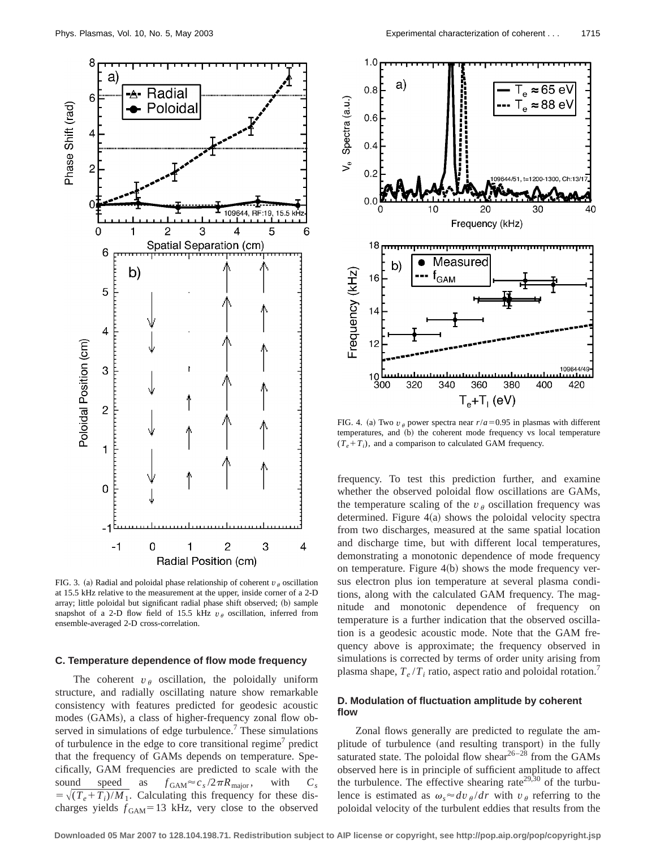

FIG. 3. (a) Radial and poloidal phase relationship of coherent  $v_{\theta}$  oscillation at 15.5 kHz relative to the measurement at the upper, inside corner of a 2-D array; little poloidal but significant radial phase shift observed; (b) sample snapshot of a 2-D flow field of 15.5 kHz  $v_{\theta}$  oscillation, inferred from ensemble-averaged 2-D cross-correlation.

#### **C. Temperature dependence of flow mode frequency**

The coherent  $v_{\theta}$  oscillation, the poloidally uniform structure, and radially oscillating nature show remarkable consistency with features predicted for geodesic acoustic modes (GAMs), a class of higher-frequency zonal flow observed in simulations of edge turbulence.<sup>7</sup> These simulations of turbulence in the edge to core transitional regime<sup> $\gamma$ </sup> predict that the frequency of GAMs depends on temperature. Specifically, GAM frequencies are predicted to scale with the sound speed as  $f_{\text{GAM}} \approx c_s / 2\pi R_{\text{major}}$ , with  $C_s$  $=\sqrt{(T_e+T_i)/M_1}$ . Calculating this frequency for these discharges yields  $f_{GAM}$ =13 kHz, very close to the observed



FIG. 4. (a) Two  $v_{\theta}$  power spectra near  $r/a = 0.95$  in plasmas with different temperatures, and (b) the coherent mode frequency vs local temperature  $(T_e+T_i)$ , and a comparison to calculated GAM frequency.

frequency. To test this prediction further, and examine whether the observed poloidal flow oscillations are GAMs, the temperature scaling of the  $v_{\theta}$  oscillation frequency was determined. Figure  $4(a)$  shows the poloidal velocity spectra from two discharges, measured at the same spatial location and discharge time, but with different local temperatures, demonstrating a monotonic dependence of mode frequency on temperature. Figure  $4(b)$  shows the mode frequency versus electron plus ion temperature at several plasma conditions, along with the calculated GAM frequency. The magnitude and monotonic dependence of frequency on temperature is a further indication that the observed oscillation is a geodesic acoustic mode. Note that the GAM frequency above is approximate; the frequency observed in simulations is corrected by terms of order unity arising from plasma shape,  $T_e/T_i$  ratio, aspect ratio and poloidal rotation.<sup>7</sup>

# **D. Modulation of fluctuation amplitude by coherent flow**

Zonal flows generally are predicted to regulate the amplitude of turbulence (and resulting transport) in the fully saturated state. The poloidal flow shear $26-28$  from the GAMs observed here is in principle of sufficient amplitude to affect the turbulence. The effective shearing rate<sup>29,30</sup> of the turbulence is estimated as  $\omega_s \approx dv_\theta / dr$  with  $v_\theta$  referring to the poloidal velocity of the turbulent eddies that results from the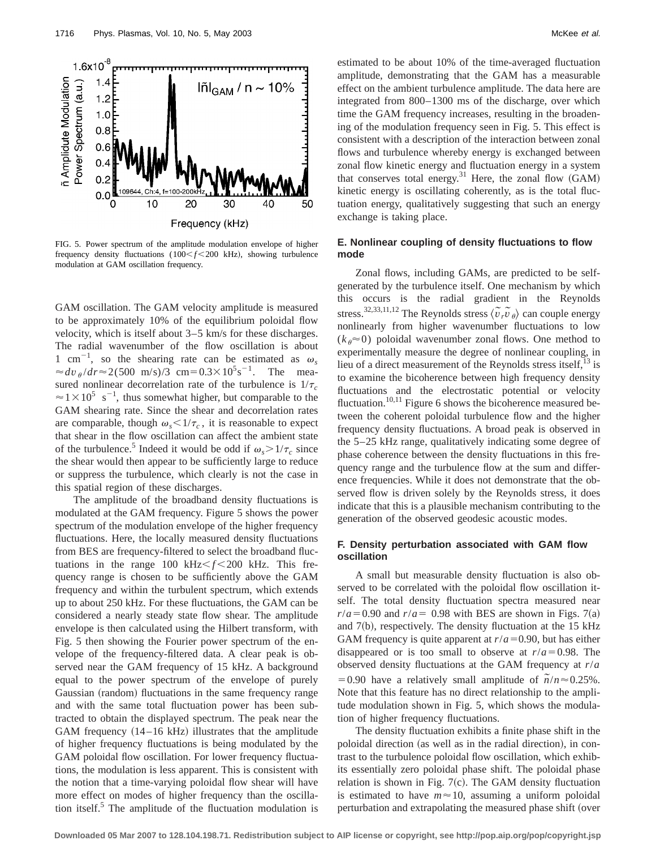



FIG. 5. Power spectrum of the amplitude modulation envelope of higher frequency density fluctuations  $(100 < f < 200$  kHz), showing turbulence modulation at GAM oscillation frequency.

GAM oscillation. The GAM velocity amplitude is measured to be approximately 10% of the equilibrium poloidal flow velocity, which is itself about 3–5 km/s for these discharges. The radial wavenumber of the flow oscillation is about 1 cm<sup>-1</sup>, so the shearing rate can be estimated as  $\omega_s$  $\approx dv_{\theta}/dr \approx 2(500 \text{ m/s})/3 \text{ cm} = 0.3 \times 10^5 \text{s}^{-1}$ . The measured nonlinear decorrelation rate of the turbulence is  $1/\tau_c$  $\approx$  1  $\times$  10<sup>5</sup> s<sup>-1</sup>, thus somewhat higher, but comparable to the GAM shearing rate. Since the shear and decorrelation rates are comparable, though  $\omega_s < 1/\tau_c$ , it is reasonable to expect that shear in the flow oscillation can affect the ambient state of the turbulence.<sup>5</sup> Indeed it would be odd if  $\omega_{s} > 1/\tau_c$  since the shear would then appear to be sufficiently large to reduce or suppress the turbulence, which clearly is not the case in this spatial region of these discharges.

The amplitude of the broadband density fluctuations is modulated at the GAM frequency. Figure 5 shows the power spectrum of the modulation envelope of the higher frequency fluctuations. Here, the locally measured density fluctuations from BES are frequency-filtered to select the broadband fluctuations in the range 100 kHz $\leq f \leq 200$  kHz. This frequency range is chosen to be sufficiently above the GAM frequency and within the turbulent spectrum, which extends up to about 250 kHz. For these fluctuations, the GAM can be considered a nearly steady state flow shear. The amplitude envelope is then calculated using the Hilbert transform, with Fig. 5 then showing the Fourier power spectrum of the envelope of the frequency-filtered data. A clear peak is observed near the GAM frequency of 15 kHz. A background equal to the power spectrum of the envelope of purely Gaussian (random) fluctuations in the same frequency range and with the same total fluctuation power has been subtracted to obtain the displayed spectrum. The peak near the GAM frequency  $(14-16 \text{ kHz})$  illustrates that the amplitude of higher frequency fluctuations is being modulated by the GAM poloidal flow oscillation. For lower frequency fluctuations, the modulation is less apparent. This is consistent with the notion that a time-varying poloidal flow shear will have more effect on modes of higher frequency than the oscillation itself.<sup>5</sup> The amplitude of the fluctuation modulation is estimated to be about 10% of the time-averaged fluctuation amplitude, demonstrating that the GAM has a measurable effect on the ambient turbulence amplitude. The data here are integrated from 800–1300 ms of the discharge, over which time the GAM frequency increases, resulting in the broadening of the modulation frequency seen in Fig. 5. This effect is consistent with a description of the interaction between zonal flows and turbulence whereby energy is exchanged between zonal flow kinetic energy and fluctuation energy in a system that conserves total energy.<sup>31</sup> Here, the zonal flow  $(GAM)$ kinetic energy is oscillating coherently, as is the total fluctuation energy, qualitatively suggesting that such an energy exchange is taking place.

# **E. Nonlinear coupling of density fluctuations to flow mode**

Zonal flows, including GAMs, are predicted to be selfgenerated by the turbulence itself. One mechanism by which this occurs is the radial gradient in the Reynolds stress.<sup>32,33,11,12</sup> The Reynolds stress  $\langle \tilde{v}, \tilde{v}, \tilde{v} \rangle$  can couple energy nonlinearly from higher wavenumber fluctuations to low  $(k_{\theta} \approx 0)$  poloidal wavenumber zonal flows. One method to experimentally measure the degree of nonlinear coupling, in lieu of a direct measurement of the Reynolds stress itself, $^{13}$  is to examine the bicoherence between high frequency density fluctuations and the electrostatic potential or velocity fluctuation.<sup>10,11</sup> Figure 6 shows the bicoherence measured between the coherent poloidal turbulence flow and the higher frequency density fluctuations. A broad peak is observed in the 5–25 kHz range, qualitatively indicating some degree of phase coherence between the density fluctuations in this frequency range and the turbulence flow at the sum and difference frequencies. While it does not demonstrate that the observed flow is driven solely by the Reynolds stress, it does indicate that this is a plausible mechanism contributing to the generation of the observed geodesic acoustic modes.

## **F. Density perturbation associated with GAM flow oscillation**

A small but measurable density fluctuation is also observed to be correlated with the poloidal flow oscillation itself. The total density fluctuation spectra measured near  $r/a = 0.90$  and  $r/a = 0.98$  with BES are shown in Figs. 7(a) and  $7(b)$ , respectively. The density fluctuation at the 15 kHz GAM frequency is quite apparent at  $r/a = 0.90$ , but has either disappeared or is too small to observe at  $r/a = 0.98$ . The observed density fluctuations at the GAM frequency at *r*/*a*  $= 0.90$  have a relatively small amplitude of  $\tilde{n}/n \approx 0.25\%$ . Note that this feature has no direct relationship to the amplitude modulation shown in Fig. 5, which shows the modulation of higher frequency fluctuations.

The density fluctuation exhibits a finite phase shift in the poloidal direction (as well as in the radial direction), in contrast to the turbulence poloidal flow oscillation, which exhibits essentially zero poloidal phase shift. The poloidal phase relation is shown in Fig.  $7(c)$ . The GAM density fluctuation is estimated to have  $m \approx 10$ , assuming a uniform poloidal perturbation and extrapolating the measured phase shift (over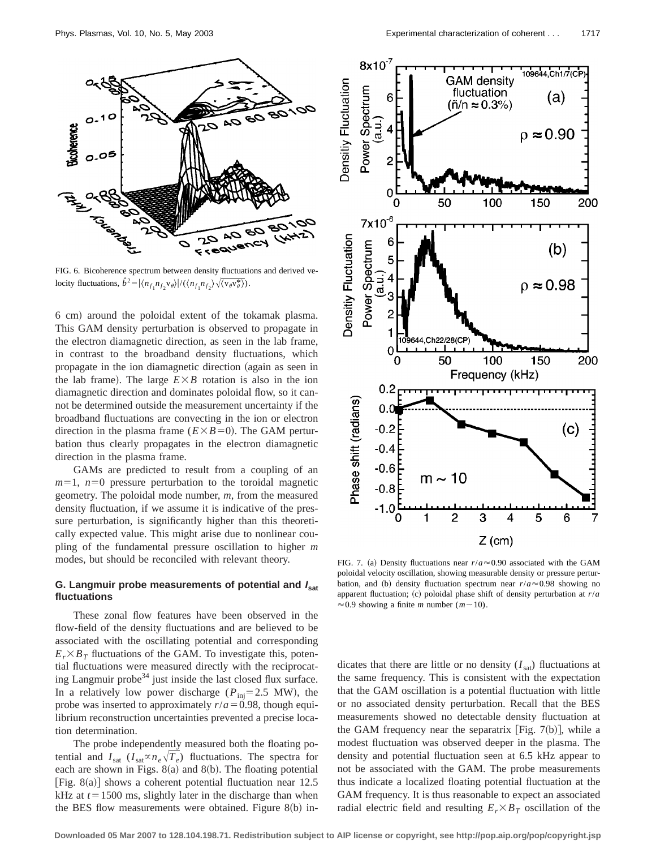

FIG. 6. Bicoherence spectrum between density fluctuations and derived velocity fluctuations,  $\hat{b}^2 = |\langle n_{f_1} n_{f_2} v_{\theta} \rangle| / (\langle n_{f_1} n_{f_2} \rangle) \sqrt{\langle v_{\theta} v_{\theta}^* \rangle}).$ 

6 cm! around the poloidal extent of the tokamak plasma. This GAM density perturbation is observed to propagate in the electron diamagnetic direction, as seen in the lab frame, in contrast to the broadband density fluctuations, which propagate in the ion diamagnetic direction (again as seen in the lab frame). The large  $E \times B$  rotation is also in the ion diamagnetic direction and dominates poloidal flow, so it cannot be determined outside the measurement uncertainty if the broadband fluctuations are convecting in the ion or electron direction in the plasma frame  $(E \times B=0)$ . The GAM perturbation thus clearly propagates in the electron diamagnetic direction in the plasma frame.

GAMs are predicted to result from a coupling of an  $m=1$ ,  $n=0$  pressure perturbation to the toroidal magnetic geometry. The poloidal mode number, *m*, from the measured density fluctuation, if we assume it is indicative of the pressure perturbation, is significantly higher than this theoretically expected value. This might arise due to nonlinear coupling of the fundamental pressure oscillation to higher *m* modes, but should be reconciled with relevant theory.

### **G. Langmuir probe measurements of potential and <sup>I</sup> sat fluctuations**

These zonal flow features have been observed in the flow-field of the density fluctuations and are believed to be associated with the oscillating potential and corresponding  $E_r \times B_T$  fluctuations of the GAM. To investigate this, potential fluctuations were measured directly with the reciprocating Langmuir probe<sup>34</sup> just inside the last closed flux surface. In a relatively low power discharge ( $P_{\text{ini}}=2.5$  MW), the probe was inserted to approximately  $r/a = 0.98$ , though equilibrium reconstruction uncertainties prevented a precise location determination.

The probe independently measured both the floating potential and  $I_{\text{sat}}$  ( $I_{\text{sat}} \propto n_e \sqrt{T_e}$ ) fluctuations. The spectra for each are shown in Figs.  $8(a)$  and  $8(b)$ . The floating potential [Fig. 8(a)] shows a coherent potential fluctuation near  $12.5$ kHz at  $t=1500$  ms, slightly later in the discharge than when the BES flow measurements were obtained. Figure  $8(b)$  in-



FIG. 7. (a) Density fluctuations near  $r/a \approx 0.90$  associated with the GAM poloidal velocity oscillation, showing measurable density or pressure perturbation, and (b) density fluctuation spectrum near  $r/a \approx 0.98$  showing no apparent fluctuation; (c) poloidal phase shift of density perturbation at  $r/a$  $\approx$  0.9 showing a finite *m* number (*m* $\sim$  10).

dicates that there are little or no density  $(I<sub>sat</sub>)$  fluctuations at the same frequency. This is consistent with the expectation that the GAM oscillation is a potential fluctuation with little or no associated density perturbation. Recall that the BES measurements showed no detectable density fluctuation at the GAM frequency near the separatrix [Fig. 7(b)], while a modest fluctuation was observed deeper in the plasma. The density and potential fluctuation seen at 6.5 kHz appear to not be associated with the GAM. The probe measurements thus indicate a localized floating potential fluctuation at the GAM frequency. It is thus reasonable to expect an associated radial electric field and resulting  $E_r \times B_T$  oscillation of the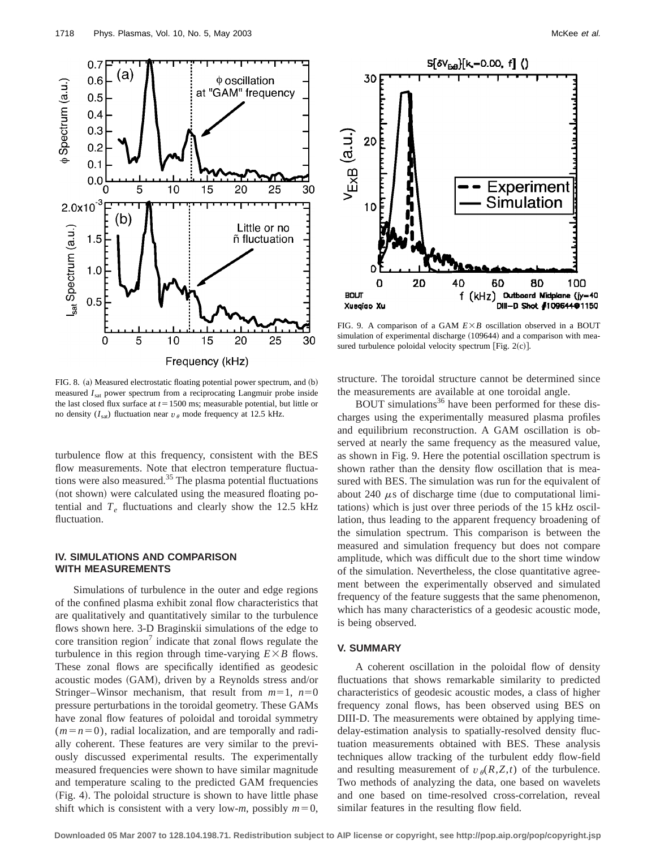

FIG. 8. (a) Measured electrostatic floating potential power spectrum, and (b) measured  $I<sub>sat</sub>$  power spectrum from a reciprocating Langmuir probe inside the last closed flux surface at  $t=1500$  ms; measurable potential, but little or no density  $(I_{sat})$  fluctuation near  $v_{\theta}$  mode frequency at 12.5 kHz.

turbulence flow at this frequency, consistent with the BES flow measurements. Note that electron temperature fluctuations were also measured.<sup>35</sup> The plasma potential fluctuations (not shown) were calculated using the measured floating potential and  $T_e$  fluctuations and clearly show the 12.5 kHz fluctuation.

# **IV. SIMULATIONS AND COMPARISON WITH MEASUREMENTS**

Simulations of turbulence in the outer and edge regions of the confined plasma exhibit zonal flow characteristics that are qualitatively and quantitatively similar to the turbulence flows shown here. 3-D Braginskii simulations of the edge to core transition region<sup>7</sup> indicate that zonal flows regulate the turbulence in this region through time-varying  $E \times B$  flows. These zonal flows are specifically identified as geodesic acoustic modes (GAM), driven by a Reynolds stress and/or Stringer–Winsor mechanism, that result from  $m=1$ ,  $n=0$ pressure perturbations in the toroidal geometry. These GAMs have zonal flow features of poloidal and toroidal symmetry  $(m=n=0)$ , radial localization, and are temporally and radially coherent. These features are very similar to the previously discussed experimental results. The experimentally measured frequencies were shown to have similar magnitude and temperature scaling to the predicted GAM frequencies (Fig. 4). The poloidal structure is shown to have little phase shift which is consistent with a very low-*m*, possibly  $m=0$ ,



FIG. 9. A comparison of a GAM  $E \times B$  oscillation observed in a BOUT simulation of experimental discharge (109644) and a comparison with measured turbulence poloidal velocity spectrum [Fig.  $2(c)$ ].

structure. The toroidal structure cannot be determined since the measurements are available at one toroidal angle.

BOUT simulations<sup>36</sup> have been performed for these discharges using the experimentally measured plasma profiles and equilibrium reconstruction. A GAM oscillation is observed at nearly the same frequency as the measured value, as shown in Fig. 9. Here the potential oscillation spectrum is shown rather than the density flow oscillation that is measured with BES. The simulation was run for the equivalent of about 240  $\mu$ s of discharge time (due to computational limitations) which is just over three periods of the 15 kHz oscillation, thus leading to the apparent frequency broadening of the simulation spectrum. This comparison is between the measured and simulation frequency but does not compare amplitude, which was difficult due to the short time window of the simulation. Nevertheless, the close quantitative agreement between the experimentally observed and simulated frequency of the feature suggests that the same phenomenon, which has many characteristics of a geodesic acoustic mode, is being observed.

# **V. SUMMARY**

A coherent oscillation in the poloidal flow of density fluctuations that shows remarkable similarity to predicted characteristics of geodesic acoustic modes, a class of higher frequency zonal flows, has been observed using BES on DIII-D. The measurements were obtained by applying timedelay-estimation analysis to spatially-resolved density fluctuation measurements obtained with BES. These analysis techniques allow tracking of the turbulent eddy flow-field and resulting measurement of  $v_{\theta}(R, Z, t)$  of the turbulence. Two methods of analyzing the data, one based on wavelets and one based on time-resolved cross-correlation, reveal similar features in the resulting flow field.

**Downloaded 05 Mar 2007 to 128.104.198.71. Redistribution subject to AIP license or copyright, see http://pop.aip.org/pop/copyright.jsp**